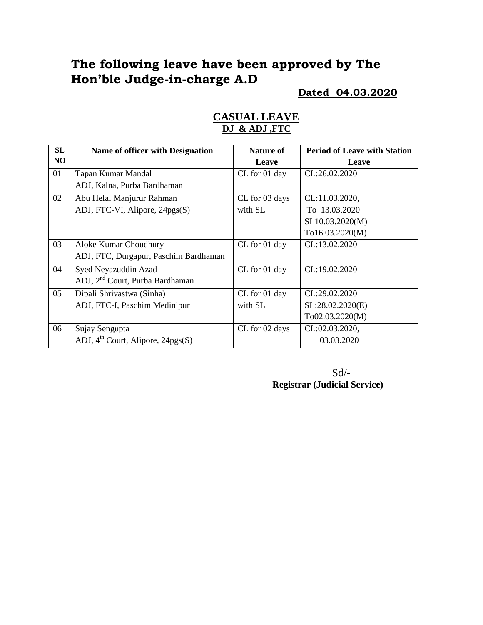## **The following leave have been approved by The Hon'ble Judge-in-charge A.D**

### **Dated 04.03.2020**

| SL | Name of officer with Designation              | <b>Nature of</b> | <b>Period of Leave with Station</b> |
|----|-----------------------------------------------|------------------|-------------------------------------|
| NO |                                               | Leave            | Leave                               |
| 01 | Tapan Kumar Mandal                            | CL for 01 day    | CL:26.02.2020                       |
|    | ADJ, Kalna, Purba Bardhaman                   |                  |                                     |
| 02 | Abu Helal Manjurur Rahman                     | CL for 03 days   | CL:11.03.2020,                      |
|    | ADJ, FTC-VI, Alipore, 24pgs(S)                | with SL          | To 13.03.2020                       |
|    |                                               |                  | SL10.03.2020(M)                     |
|    |                                               |                  | To16.03.2020(M)                     |
| 03 | Aloke Kumar Choudhury                         | CL for 01 day    | CL:13.02.2020                       |
|    | ADJ, FTC, Durgapur, Paschim Bardhaman         |                  |                                     |
| 04 | Syed Neyazuddin Azad                          | CL for 01 day    | CL:19.02.2020                       |
|    | ADJ, 2 <sup>nd</sup> Court, Purba Bardhaman   |                  |                                     |
| 05 | Dipali Shrivastwa (Sinha)                     | CL for 01 day    | CL:29.02.2020                       |
|    | ADJ, FTC-I, Paschim Medinipur                 | with SL          | SL:28.02.2020(E)                    |
|    |                                               |                  | To02.03.2020(M)                     |
| 06 | Sujay Sengupta                                | CL for 02 days   | CL:02.03.2020,                      |
|    | ADJ, 4 <sup>th</sup> Court, Alipore, 24pgs(S) |                  | 03.03.2020                          |

## **CASUAL LEAVE DJ & ADJ ,FTC**

 Sd/- **Registrar (Judicial Service)**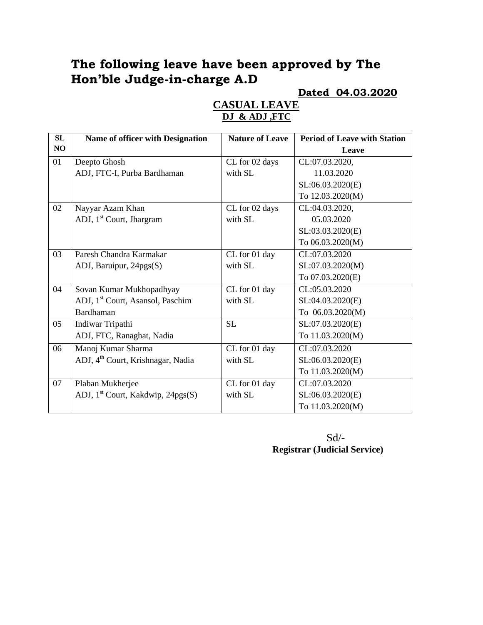# **The following leave have been approved by The Hon'ble Judge-in-charge A.D**

### **Dated 04.03.2020**

| SL | Name of officer with Designation              | <b>Nature of Leave</b> | <b>Period of Leave with Station</b> |
|----|-----------------------------------------------|------------------------|-------------------------------------|
| NO |                                               |                        | Leave                               |
| 01 | Deepto Ghosh                                  | CL for 02 days         | CL:07.03.2020,                      |
|    | ADJ, FTC-I, Purba Bardhaman                   | with SL                | 11.03.2020                          |
|    |                                               |                        | SL:06.03.2020(E)                    |
|    |                                               |                        | To 12.03.2020(M)                    |
| 02 | Nayyar Azam Khan                              | CL for 02 days         | CL:04.03.2020,                      |
|    | ADJ, 1 <sup>st</sup> Court, Jhargram          | with SL                | 05.03.2020                          |
|    |                                               |                        | SL:03.03.2020(E)                    |
|    |                                               |                        | To 06.03.2020(M)                    |
| 03 | Paresh Chandra Karmakar                       | CL for 01 day          | CL:07.03.2020                       |
|    | ADJ, Baruipur, 24pgs(S)                       | with SL                | SL:07.03.2020(M)                    |
|    |                                               |                        | To 07.03.2020(E)                    |
| 04 | Sovan Kumar Mukhopadhyay                      | CL for 01 day          | CL:05.03.2020                       |
|    | ADJ, 1 <sup>st</sup> Court, Asansol, Paschim  | with SL                | SL:04.03.2020(E)                    |
|    | Bardhaman                                     |                        | To 06.03.2020(M)                    |
| 05 | Indiwar Tripathi                              | SL                     | SL:07.03.2020(E)                    |
|    | ADJ, FTC, Ranaghat, Nadia                     |                        | To 11.03.2020(M)                    |
| 06 | Manoj Kumar Sharma                            | CL for 01 day          | CL:07.03.2020                       |
|    | ADJ, 4 <sup>th</sup> Court, Krishnagar, Nadia | with SL                | SL:06.03.2020(E)                    |
|    |                                               |                        | To 11.03.2020(M)                    |
| 07 | Plaban Mukherjee                              | CL for 01 day          | CL:07.03.2020                       |
|    | ADJ, 1 <sup>st</sup> Court, Kakdwip, 24pgs(S) | with SL                | SL:06.03.2020(E)                    |
|    |                                               |                        | To 11.03.2020(M)                    |

## **CASUAL LEAVE DJ & ADJ ,FTC**

Sd/- **Registrar (Judicial Service)**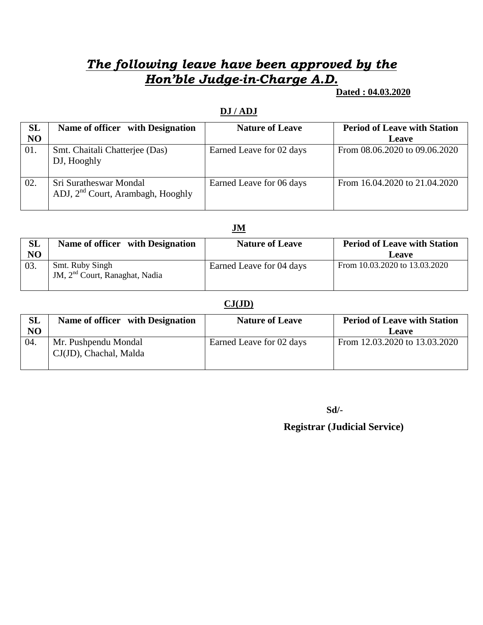# *The following leave have been approved by the Hon'ble Judge-in-Charge A.D.*

 **Dated : 04.03.2020** 

#### **DJ / ADJ**

| SL<br>N <sub>O</sub> | Name of officer with Designation                                        | <b>Nature of Leave</b>   | <b>Period of Leave with Station</b><br><b>Leave</b> |
|----------------------|-------------------------------------------------------------------------|--------------------------|-----------------------------------------------------|
| 01.                  | Smt. Chaitali Chatterjee (Das)<br>DJ, Hooghly                           | Earned Leave for 02 days | From 08.06.2020 to 09.06.2020                       |
| 02.                  | Sri Suratheswar Mondal<br>ADJ, 2 <sup>nd</sup> Court, Arambagh, Hooghly | Earned Leave for 06 days | From 16.04.2020 to 21.04.2020                       |

### **JM**

| <b>SL</b><br>NO | Name of officer with Designation                              | <b>Nature of Leave</b>   | <b>Period of Leave with Station</b><br>Leave |
|-----------------|---------------------------------------------------------------|--------------------------|----------------------------------------------|
| 03.             | Smt. Ruby Singh<br>JM, 2 <sup>nd</sup> Court, Ranaghat, Nadia | Earned Leave for 04 days | From 10.03.2020 to 13.03.2020                |

#### **CJ(JD)**

| SL<br>N <sub>O</sub> | Name of officer with Designation               | <b>Nature of Leave</b>   | <b>Period of Leave with Station</b><br>Leave |
|----------------------|------------------------------------------------|--------------------------|----------------------------------------------|
| 04.                  | Mr. Pushpendu Mondal<br>CJ(JD), Chachal, Malda | Earned Leave for 02 days | From 12.03.2020 to 13.03.2020                |

**Sd/-**

 **Registrar (Judicial Service)**